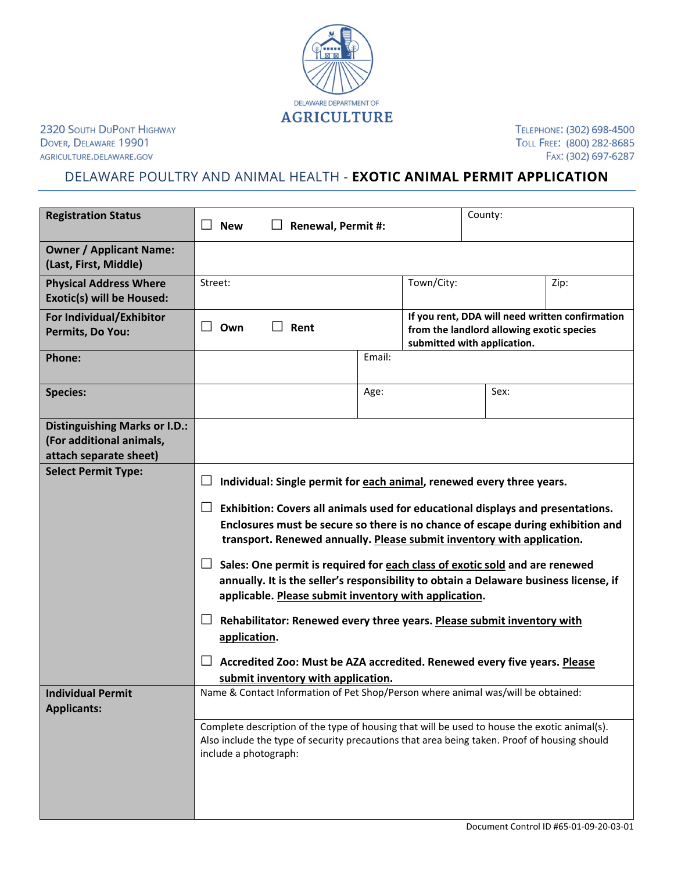

2320 SOUTH DUPONT HIGHWAY DOVER, DELAWARE 19901 AGRICULTURE.DELAWARE.GOV

TELEPHONE: (302) 698-4500 TOLL FREE: (800) 282-8685 FAX: (302) 697-6287

## DELAWARE POULTRY AND ANIMAL HEALTH - **EXOTIC ANIMAL PERMIT APPLICATION**

| <b>Registration Status</b>                                                                 | County:<br>$\Box$<br><b>New</b><br><b>Renewal, Permit #:</b>                                                                                                                                                                                 |                                                                                                                                                                                                                               |  |  |  |
|--------------------------------------------------------------------------------------------|----------------------------------------------------------------------------------------------------------------------------------------------------------------------------------------------------------------------------------------------|-------------------------------------------------------------------------------------------------------------------------------------------------------------------------------------------------------------------------------|--|--|--|
| <b>Owner / Applicant Name:</b><br>(Last, First, Middle)                                    |                                                                                                                                                                                                                                              |                                                                                                                                                                                                                               |  |  |  |
| <b>Physical Address Where</b><br>Exotic(s) will be Housed:                                 | Town/City:<br>Street:<br>Zip:                                                                                                                                                                                                                |                                                                                                                                                                                                                               |  |  |  |
| For Individual/Exhibitor<br>Permits, Do You:                                               | If you rent, DDA will need written confirmation<br>$\perp$<br>Own<br>Rent<br>from the landlord allowing exotic species<br>submitted with application.                                                                                        |                                                                                                                                                                                                                               |  |  |  |
| <b>Phone:</b>                                                                              |                                                                                                                                                                                                                                              | Email:                                                                                                                                                                                                                        |  |  |  |
| <b>Species:</b>                                                                            |                                                                                                                                                                                                                                              | Sex:<br>Age:                                                                                                                                                                                                                  |  |  |  |
| <b>Distinguishing Marks or I.D.:</b><br>(For additional animals,<br>attach separate sheet) |                                                                                                                                                                                                                                              |                                                                                                                                                                                                                               |  |  |  |
| <b>Select Permit Type:</b>                                                                 | Individual: Single permit for each animal, renewed every three years.                                                                                                                                                                        |                                                                                                                                                                                                                               |  |  |  |
|                                                                                            | Exhibition: Covers all animals used for educational displays and presentations.<br>Enclosures must be secure so there is no chance of escape during exhibition and<br>transport. Renewed annually. Please submit inventory with application. |                                                                                                                                                                                                                               |  |  |  |
|                                                                                            | ப                                                                                                                                                                                                                                            | Sales: One permit is required for each class of exotic sold and are renewed<br>annually. It is the seller's responsibility to obtain a Delaware business license, if<br>applicable. Please submit inventory with application. |  |  |  |
|                                                                                            | application.                                                                                                                                                                                                                                 | Rehabilitator: Renewed every three years. Please submit inventory with                                                                                                                                                        |  |  |  |
|                                                                                            | submit inventory with application.                                                                                                                                                                                                           | Accredited Zoo: Must be AZA accredited. Renewed every five years. Please                                                                                                                                                      |  |  |  |
| <b>Individual Permit</b><br><b>Applicants:</b>                                             | Name & Contact Information of Pet Shop/Person where animal was/will be obtained:                                                                                                                                                             |                                                                                                                                                                                                                               |  |  |  |
|                                                                                            | Complete description of the type of housing that will be used to house the exotic animal(s).<br>Also include the type of security precautions that area being taken. Proof of housing should<br>include a photograph:                        |                                                                                                                                                                                                                               |  |  |  |